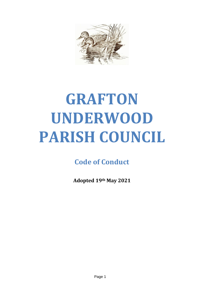

# **GRAFTON UNDERWOOD PARISH COUNCIL**

**Code of Conduct**

**Adopted 19th May 2021**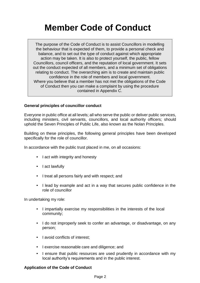# **Member Code of Conduct**

The purpose of the Code of Conduct is to assist Councillors in modelling the behaviour that is expected of them, to provide a personal check and balance, and to set out the type of conduct against which appropriate action may be taken. It is also to protect yourself, the public, fellow Councillors, council officers, and the reputation of local government. It sets out the conduct expected of all members, and a minimum set of obligations relating to conduct. The overarching aim is to create and maintain public confidence in the role of members and local government. Where you believe that a member has not met the obligations of the Code of Conduct then you can make a complaint by using the procedure contained in Appendix C.

# **General principles of councillor conduct**

Everyone in public office at all levels; all who serve the public or deliver public services, including ministers, civil servants, councillors, and local authority officers; should uphold the Seven Principles of Public Life, also known as the Nolan Principles.

Building on these principles, the following general principles have been developed specifically for the role of councillor.

In accordance with the public trust placed in me, on all occasions:

- I act with integrity and honesty
- I act lawfully
- I treat all persons fairly and with respect; and
- I lead by example and act in a way that secures public confidence in the role of councillor

In undertaking my role:

- I impartially exercise my responsibilities in the interests of the local community;
- I do not improperly seek to confer an advantage, or disadvantage, on any person;
- I avoid conflicts of interest:
- I exercise reasonable care and diligence; and
- I ensure that public resources are used prudently in accordance with my local authority's requirements and in the public interest.

# **Application of the Code of Conduct**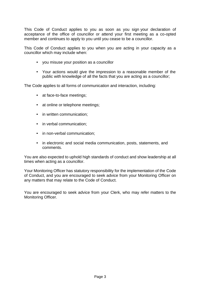This Code of Conduct applies to you as soon as you sign your declaration of acceptance of the office of councillor or attend your first meeting as a co-opted member and continues to apply to you until you cease to be a councillor.

This Code of Conduct applies to you when you are acting in your capacity as a councillor which may include when:

- you misuse your position as a councillor
- Your actions would give the impression to a reasonable member of the public with knowledge of all the facts that you are acting as a councillor;

The Code applies to all forms of communication and interaction, including:

- at face-to-face meetings;
- at online or telephone meetings;
- in written communication;
- in verbal communication;
- in non-verbal communication;
- in electronic and social media communication, posts, statements, and comments.

You are also expected to uphold high standards of conduct and show leadership at all times when acting as a councillor.

Your Monitoring Officer has statutory responsibility for the implementation of the Code of Conduct, and you are encouraged to seek advice from your Monitoring Officer on any matters that may relate to the Code of Conduct.

You are encouraged to seek advice from your Clerk, who may refer matters to the Monitoring Officer.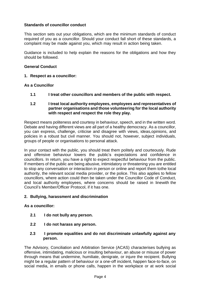# **Standards of councillor conduct**

This section sets out your obligations, which are the minimum standards of conduct required of you as a councillor. Should your conduct fall short of these standards, a complaint may be made against you, which may result in action being taken.

Guidance is included to help explain the reasons for the obligations and how they should be followed.

# **General Conduct**

**1. Respect as a councillor:**

## **As a Councillor**

**1.1 I treat other councillors and members of the public with respect.**

# **1.2 I treat local authority employees, employees and representatives of partner organisations and those volunteering for the local authority with respect and respect the role they play.**

Respect means politeness and courtesy in behaviour, speech, and in the written word. Debate and having different views are all part of a healthy democracy. As a councillor, you can express, challenge, criticise and disagree with views, ideas,opinions, and policies in a robust but civil manner. You should not, however, subject individuals, groups of people or organisations to personal attack.

In your contact with the public, you should treat them politely and courteously. Rude and offensive behaviour lowers the public's expectations and confidence in councillors. In return, you have a right to expect respectful behaviour from the public. If members of the public are being abusive, intimidatory or threatening you are entitled to stop any conversation or interaction in person or online and report them tothe local authority, the relevant social media provider, or the police. This also applies to fellow councillors, where action could then be taken under the Councillor Code of Conduct, and local authority employees, where concerns should be raised in linewith the Council's Member/Officer Protocol, if it has one.

## **2. Bullying, harassment and discrimination**

## **As a councillor:**

- **2.1 I do not bully any person.**
- **2.2 I do not harass any person.**
- **2.3 I promote equalities and do not discriminate unlawfully against any person.**

The Advisory, Conciliation and Arbitration Service (ACAS) characterises bullying as offensive, intimidating, malicious or insulting behaviour, an abuse or misuse of power through means that undermine, humiliate, denigrate, or injure the recipient. Bullying might be a regular pattern of behaviour or a one-off incident, happen face-to-face, on social media, in emails or phone calls, happen in the workplace or at work social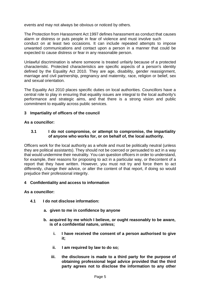events and may not always be obvious or noticed by others.

The Protection from Harassment Act 1997 defines harassment as conduct that causes alarm or distress or puts people in fear of violence and must involve such conduct on at least two occasions. It can include repeated attempts to impose unwanted communications and contact upon a person in a manner that could be expected to cause distress or fear in any reasonable person.

Unlawful discrimination is where someone is treated unfairly because of a protected characteristic. Protected characteristics are specific aspects of a person's identity defined by the Equality Act 2010. They are age, disability, gender reassignment, marriage and civil partnership, pregnancy and maternity, race, religion or belief, sex and sexual orientation.

The Equality Act 2010 places specific duties on local authorities. Councillors have a central role to play in ensuring that equality issues are integral to the local authority's performance and strategic aims, and that there is a strong vision and public commitment to equality across public services.

# **3 Impartiality of officers of the council**

# **As a councillor:**

## **3.1 I do not compromise, or attempt to compromise, the impartiality of anyone who works for, or on behalf of, the local authority.**

Officers work for the local authority as a whole and must be politically neutral (unless they are political assistants). They should not be coerced or persuaded to act in a way that would undermine their neutrality. You can question officers in order to understand, for example, their reasons for proposing to act in a particular way, or thecontent of a report that they have written. However, you must not try and force them to act differently, change their advice, or alter the content of that report, if doing so would prejudice their professional integrity.

## **4 Confidentiality and access to information**

## **As a councillor:**

- **4.1 I do not disclose information:**
	- **a. given to me in confidence by anyone**
	- **b. acquired by me which I believe, or ought reasonably to be aware, is of a confidential nature, unless;**
		- **i. I have received the consent of a person authorised to give it;**
		- **ii. I am required by law to do so;**
		- **iii. the disclosure is made to a third party for the purpose of obtaining professional legal advice provided that the third party agrees not to disclose the information to any other**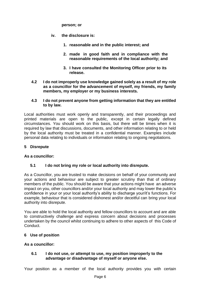**person; or**

- **iv. the disclosure is:**
	- **1. reasonable and in the public interest; and**
	- **2. made in good faith and in compliance with the reasonable requirements of the local authority; and**
	- **3. I have consulted the Monitoring Officer prior to its release.**
- **4.2 I do not improperly use knowledge gained solely as a result of my role as a councillor for the advancement of myself, my friends, my family members, my employer or my business interests.**

# **4.3 I do not prevent anyone from getting information that they are entitled to by law.**

Local authorities must work openly and transparently, and their proceedings and printed materials are open to the public, except in certain legally defined circumstances. You should work on this basis, but there will be times when it is required by law that discussions, documents, and other information relating to or held by the local authority must be treated in a confidential manner. Examples include personal data relating to individuals or information relating to ongoing negotiations.

# **5 Disrepute**

# **As a councillor:**

# **5.1 I do not bring my role or local authority into disrepute.**

As a Councillor, you are trusted to make decisions on behalf of your community and your actions and behaviour are subject to greater scrutiny than that of ordinary members of the public. You should be aware that your actions might have an adverse impact on you, other councillors and/or your local authority and may lower the public's confidence in your or your local authority's ability to discharge your/it's functions. For example, behaviour that is considered dishonest and/or deceitful can bring your local authority into disrepute.

You are able to hold the local authority and fellow councillors to account and are able to constructively challenge and express concern about decisions and processes undertaken by the council whilst continuing to adhere to other aspects of this Code of Conduct.

# **6 Use of position**

# **As a councillor:**

## **6.1 I do not use, or attempt to use, my position improperly to the advantage or disadvantage of myself or anyone else.**

Your position as a member of the local authority provides you with certain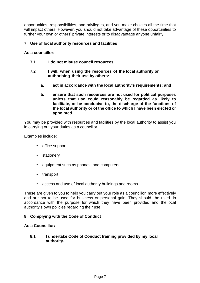opportunities, responsibilities, and privileges, and you make choices all the time that will impact others. However, you should not take advantage of these opportunities to further your own or others' private interests or to disadvantage anyone unfairly.

# **7 Use of local authority resources and facilities**

## **As a councillor:**

- **7.1 I do not misuse council resources.**
- **7.2 I will, when using the resources of the local authority or authorising their use by others:**
	- **a. act in accordance with the local authority's requirements; and**
	- **b. ensure that such resources are not used for political purposes unless that use could reasonably be regarded as likely to facilitate, or be conducive to, the discharge of the functions of the local authority or of the office to which I have been elected or appointed.**

You may be provided with resources and facilities by the local authority to assist you in carrying out your duties as a councillor.

Examples include:

- office support
- stationery
- equipment such as phones, and computers
- transport
- access and use of local authority buildings and rooms.

These are given to you to help you carry out your role as a councillor more effectively and are not to be used for business or personal gain. They should be used in accordance with the purpose for which they have been provided and the local authority's own policies regarding their use.

## **8 Complying with the Code of Conduct**

## **As a Councillor:**

**8.1 I undertake Code of Conduct training provided by my local authority.**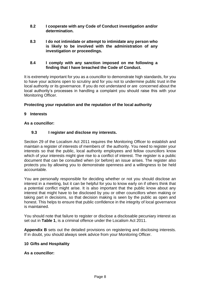- **8.2 I cooperate with any Code of Conduct investigation and/or determination.**
- **8.3 I do not intimidate or attempt to intimidate any person who is likely to be involved with the administration of any investigation or proceedings.**

# **8.4 I comply with any sanction imposed on me following a finding that I have breached the Code of Conduct.**

It is extremely important for you as a councillor to demonstrate high standards, for you to have your actions open to scrutiny and for you not to undermine public trust in the local authority or its governance. If you do not understand or are concerned about the local authority's processes in handling a complaint you should raise this with your Monitoring Officer.

# **Protecting your reputation and the reputation of the local authority**

# **9 Interests**

# **As a councillor:**

# **9.3 I register and disclose my interests.**

Section 29 of the Localism Act 2011 requires the Monitoring Officer to establish and maintain a register of interests of members of the authority. You need to register your interests so that the public, local authority employees and fellow councillors know which of your interests might give rise to a conflict of interest. The register is a public document that can be consulted when (or before) an issue arises. The register also protects you by allowing you to demonstrate openness and a willingness to be held accountable.

You are personally responsible for deciding whether or not you should disclose an interest in a meeting, but it can be helpful for you to know early on if others think that a potential conflict might arise. It is also important that the public know about any interest that might have to be disclosed by you or other councillors when making or taking part in decisions, so that decision making is seen by the public as open and honest. This helps to ensure that public confidence in the integrity of local governance is maintained.

You should note that failure to register or disclose a disclosable pecuniary interest as set out in **Table 1**, is a criminal offence under the Localism Act 2011.

**Appendix B** sets out the detailed provisions on registering and disclosing interests. If in doubt, you should always seek advice from your Monitoring Officer.

# **10 Gifts and Hospitality**

# **As a councillor:**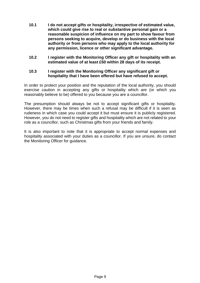- **10.1 I do not accept gifts or hospitality, irrespective of estimated value, which could give rise to real or substantive personal gain or a reasonable suspicion of influence on my part to show favour from persons seeking to acquire, develop or do business with the local authority or from persons who may apply to the local authority for any permission, licence or other significant advantage.**
- **10.2 I register with the Monitoring Officer any gift or hospitality with an estimated value of at least £50 within 28 days of its receipt.**

#### **10.3 I register with the Monitoring Officer any significant gift or hospitality that I have been offered but have refused to accept.**

In order to protect your position and the reputation of the local authority, you should exercise caution in accepting any gifts or hospitality which are (or which you reasonably believe to be) offered to you because you are a councillor.

The presumption should always be not to accept significant gifts or hospitality. However, there may be times when such a refusal may be difficult if it is seen as rudeness in which case you could accept it but must ensure it is publicly registered. However, you do not need to register gifts and hospitality which are not related to your role as a councillor, such as Christmas gifts from your friends and family.

It is also important to note that it is appropriate to accept normal expenses and hospitality associated with your duties as a councillor. If you are unsure, do contact the Monitoring Officer for guidance.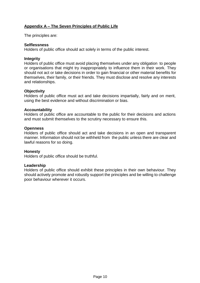# **Appendix A – The Seven Principles of Public Life**

The principles are:

#### **Selflessness**

Holders of public office should act solely in terms of the public interest.

#### **Integrity**

Holders of public office must avoid placing themselves under any obligation to people or organisations that might try inappropriately to influence them in their work. They should not act or take decisions in order to gain financial or other material benefits for themselves, their family, or their friends. They must disclose and resolve any interests and relationships.

#### **Objectivity**

Holders of public office must act and take decisions impartially, fairly and on merit, using the best evidence and without discrimination or bias.

#### **Accountability**

Holders of public office are accountable to the public for their decisions and actions and must submit themselves to the scrutiny necessary to ensure this.

#### **Openness**

Holders of public office should act and take decisions in an open and transparent manner. Information should not be withheld from the public unless there are clear and lawful reasons for so doing.

#### **Honesty**

Holders of public office should be truthful.

#### **Leadership**

Holders of public office should exhibit these principles in their own behaviour. They should actively promote and robustly support the principles and be willing to challenge poor behaviour wherever it occurs.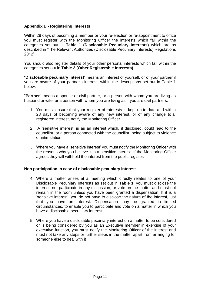# **Appendix B - Registering interests**

Within 28 days of becoming a member or your re-election or re-appointment to office you must register with the Monitoring Officer the interests which fall within the categories set out in **Table 1 (Disclosable Pecuniary Interests)** which are as described in "The Relevant Authorities (Disclosable Pecuniary Interests) Regulations 2012".

You should also register details of your other personal interests which fall within the categories set out in **Table 2 (Other Registerable Interests)**.

"**Disclosable pecuniary interest**" means an interest of yourself, or of your partner if you are aware of your partner's interest, within the descriptions set out in Table 1 below.

"**Partner**" means a spouse or civil partner, or a person with whom you are living as husband or wife, or a person with whom you are living as if you are civil partners.

- 1. You must ensure that your register of interests is kept up-to-date and within 28 days of becoming aware of any new interest, or of any change to a registered interest, notify the Monitoring Officer.
- 2. A 'sensitive interest' is as an interest which, if disclosed, could lead to the councillor, or a person connected with the councillor, being subject to violence or intimidation.
- 3. Where you have a 'sensitive interest' you must notify the Monitoring Officer with the reasons why you believe it is a sensitive interest. If the Monitoring Officer agrees they will withhold the interest from the public register.

## **Non participation in case of disclosable pecuniary interest**

- 4. Where a matter arises at a meeting which directly relates to one of your Disclosable Pecuniary Interests as set out in **Table 1**, you must disclose the interest, not participate in any discussion, or vote on the matter and must not remain in the room unless you have been granted a dispensation. If it is a 'sensitive interest', you do not have to disclose the nature of the interest, just that you have an interest. Dispensation may be granted in limited circumstances, to enable you to participate and vote on a matter in which you have a disclosable pecuniary interest.
- 5. Where you have a disclosable pecuniary interest on a matter to be considered or is being considered by you as an Executive member in exercise of your executive function, you must notify the Monitoring Officer of the interest and must not take any steps or further steps in the matter apart from arranging for someone else to deal with it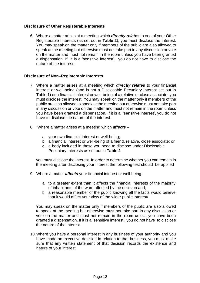# **Disclosure of Other Registerable Interests**

6. Where a matter arises at a meeting which *directly relates* to one of your Other Registerable Interests (as set out in **Table 2**), you must disclose the interest. You may speak on the matter only if members of the public are also allowed to speak at the meeting but otherwise must not take part in any discussion or vote on the matter and must not remain in the room unless you have been granted a dispensation. If it is a 'sensitive interest', you do not have to disclose the nature of the interest.

## **Disclosure of Non–Registerable Interests**

- 7. Where a matter arises at a meeting which *directly relates* to your financial interest or well-being (and is not a Disclosable Pecuniary Interest set out in Table 1) or a financial interest or well-being of a relative or close associate, you must disclose the interest. You may speak on the matter only if members of the public are also allowed to speak at the meeting but otherwise must not take part in any discussion or vote on the matter and must not remain in the room unless you have been granted a dispensation. If it is a 'sensitive interest', you do not have to disclose the nature of the interest.
- 8. Where a matter arises at a meeting which *affects*
	- a. your own financial interest or well-being;
	- b. a financial interest or well-being of a friend, relative, close associate; or
	- **c.** a body included in those you need to disclose under Disclosable Pecuniary Interests as set out in **Table 2**

you must disclose the interest. In order to determine whether you can remain in the meeting after disclosing your interest the following test should be applied

- 9. Where a matter *affects* your financial interest or well-being:
	- a. to a greater extent than it affects the financial interests of the majority of inhabitants of the ward affected by the decision and;
	- b. a reasonable member of the public knowing all the facts would believe that it would affect your view of the wider public interest/

You may speak on the matter only if members of the public are also allowed to speak at the meeting but otherwise must not take part in any discussion or vote on the matter and must not remain in the room unless you have been granted a dispensation. If it is a 'sensitive interest', you do not have to disclose the nature of the interest.

10.Where you have a personal interest in any business of your authority and you have made an executive decision in relation to that business, you must make sure that any written statement of that decision records the existence and nature of your interest.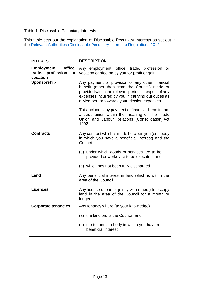# Table 1: Disclosable Pecuniary Interests

This table sets out the explanation of Disclosable Pecuniary Interests as set out in the Relevant [Authorities \(Disclosable Pecuniary](https://www.legislation.gov.uk/uksi/2012/1464/made) Interests) Regulations 2012.

| <b>INTEREST</b>                                            | <b>DESCRIPTION</b>                                                                                                                                                                                                                                                                                                                                                                                                                 |  |  |
|------------------------------------------------------------|------------------------------------------------------------------------------------------------------------------------------------------------------------------------------------------------------------------------------------------------------------------------------------------------------------------------------------------------------------------------------------------------------------------------------------|--|--|
| Employment, office,<br>trade, profession<br>or<br>vocation | Any employment, office, trade, profession<br>or<br>vocation carried on by you for profit or gain.                                                                                                                                                                                                                                                                                                                                  |  |  |
| Sponsorship                                                | Any payment or provision of any other financial<br>benefit (other than from the Council) made or<br>provided within the relevant period in respect of any<br>expenses incurred by you in carrying out duties as<br>a Member, or towards your election expenses.<br>This includes any payment or financial benefit from<br>a trade union within the meaning of the Trade<br>Union and Labour Relations (Consolidation) Act<br>1992. |  |  |
| <b>Contracts</b>                                           | Any contract which is made between you (or a body<br>in which you have a beneficial interest) and the<br>Council<br>(a) under which goods or services are to be<br>provided or works are to be executed; and<br>(b) which has not been fully discharged.                                                                                                                                                                           |  |  |
| Land                                                       | Any beneficial interest in land which is within the<br>area of the Council.                                                                                                                                                                                                                                                                                                                                                        |  |  |
| <b>Licences</b>                                            | Any licence (alone or jointly with others) to occupy<br>land in the area of the Council for a month or<br>longer.                                                                                                                                                                                                                                                                                                                  |  |  |
| <b>Corporate tenancies</b>                                 | Any tenancy where (to your knowledge)                                                                                                                                                                                                                                                                                                                                                                                              |  |  |
|                                                            | (a) the landlord is the Council; and<br>(b) the tenant is a body in which you have a                                                                                                                                                                                                                                                                                                                                               |  |  |
|                                                            | beneficial interest.                                                                                                                                                                                                                                                                                                                                                                                                               |  |  |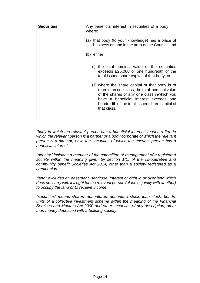| <b>Securities</b> | Any beneficial interest in securities of a body<br>where:<br>(a) that body (to your knowledge) has a place of<br>business or land in the area of the Council; and<br>(b) either                                                                          |  |  |
|-------------------|----------------------------------------------------------------------------------------------------------------------------------------------------------------------------------------------------------------------------------------------------------|--|--|
|                   |                                                                                                                                                                                                                                                          |  |  |
|                   |                                                                                                                                                                                                                                                          |  |  |
|                   | the total nominal value of the securities<br>(i)<br>exceeds £25,000 or one hundredth of the<br>total issued share capital of that body; or                                                                                                               |  |  |
|                   | (ii) where the share capital of that body is of<br>more than one class, the total nominal value<br>of the shares of any one class inwhich you<br>have a beneficial interest exceeds one<br>hundredth of the total issued share capital of<br>that class. |  |  |
|                   |                                                                                                                                                                                                                                                          |  |  |

*"body in which the relevant person has a beneficial interest" means a firm in which the relevant person is a partner or a body corporate of which the relevant person is a director, or in the securities of which the relevant person has a beneficial interest;*

*"director" includes a member of the committee of management of a registered society within the meaning given by section 1(1) of the co-operative and community benefit Societies Act 2014, other than a society registered as a credit union.*

*"land" excludes an easement, servitude, interest or right in or over land which does not carry with it a right for the relevant person (alone or jointly with another) to occupy the land or to receive income;*

*"securities" means shares, debentures, debenture stock, loan stock, bonds, units of a collective investment scheme within the meaning of the Financial Services and Markets Act 2000 and other securities of any description, other than money deposited with a building society.*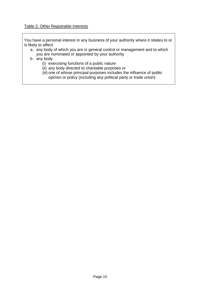## Table 2: Other Registrable Interests

You have a personal interest in any business of your authority where it relates to or is likely to affect:

- a. any body of which you are in general control or management and to which you are nominated or appointed by your authority
- b. any body
	- (i) exercising functions of a public nature
	- (ii) any body directed to charitable purposes or
	- (iii) one of whose principal purposes includes the influence of public opinion or policy (including any political party or trade union)